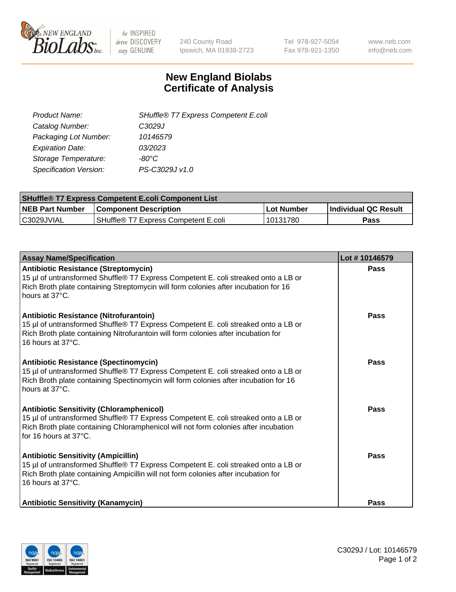

 $be$  INSPIRED drive DISCOVERY stay GENUINE

240 County Road Ipswich, MA 01938-2723 Tel 978-927-5054 Fax 978-921-1350 www.neb.com info@neb.com

## **New England Biolabs Certificate of Analysis**

| SHuffle® T7 Express Competent E.coli |
|--------------------------------------|
| C3029J                               |
| 10146579                             |
| 03/2023                              |
| -80°C                                |
| PS-C3029J v1.0                       |
|                                      |

| <b>SHuffle<sup>®</sup> T7 Express Competent E.coli Component List</b> |                                      |            |                             |  |
|-----------------------------------------------------------------------|--------------------------------------|------------|-----------------------------|--|
| <b>NEB Part Number</b>                                                | <b>Component Description</b>         | Lot Number | <b>Individual QC Result</b> |  |
| C3029JVIAL                                                            | SHuffle® T7 Express Competent E.coli | 10131780   | Pass                        |  |

| <b>Assay Name/Specification</b>                                                                                                                                                                                                                       | Lot #10146579 |
|-------------------------------------------------------------------------------------------------------------------------------------------------------------------------------------------------------------------------------------------------------|---------------|
| <b>Antibiotic Resistance (Streptomycin)</b><br>15 µl of untransformed Shuffle® T7 Express Competent E. coli streaked onto a LB or<br>Rich Broth plate containing Streptomycin will form colonies after incubation for 16<br>hours at 37°C.            | Pass          |
| <b>Antibiotic Resistance (Nitrofurantoin)</b><br>15 µl of untransformed Shuffle® T7 Express Competent E. coli streaked onto a LB or<br>Rich Broth plate containing Nitrofurantoin will form colonies after incubation for<br>16 hours at 37°C.        | Pass          |
| <b>Antibiotic Resistance (Spectinomycin)</b><br>15 µl of untransformed Shuffle® T7 Express Competent E. coli streaked onto a LB or<br>Rich Broth plate containing Spectinomycin will form colonies after incubation for 16<br>hours at 37°C.          | Pass          |
| <b>Antibiotic Sensitivity (Chloramphenicol)</b><br>15 µl of untransformed Shuffle® T7 Express Competent E. coli streaked onto a LB or<br>Rich Broth plate containing Chloramphenicol will not form colonies after incubation<br>for 16 hours at 37°C. | Pass          |
| <b>Antibiotic Sensitivity (Ampicillin)</b><br>15 µl of untransformed Shuffle® T7 Express Competent E. coli streaked onto a LB or<br>Rich Broth plate containing Ampicillin will not form colonies after incubation for<br>16 hours at 37°C.           | <b>Pass</b>   |
| <b>Antibiotic Sensitivity (Kanamycin)</b>                                                                                                                                                                                                             | Pass          |